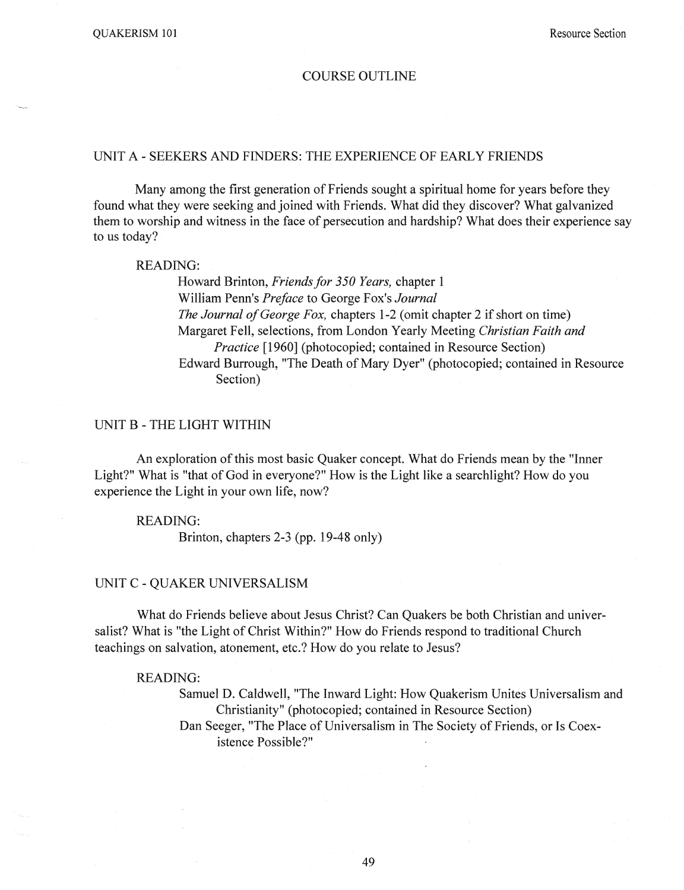### COURSE OUTLINE

## UNIT A - SEEKERS AND FINDERS: THE EXPERIENCE OF EARLY FRIENDS

Many among the first generation of Friends sought a spiritual home for years before they found what they were seeking and joined with Friends. What did they discover? What galvanized them to worship and witness in the face of persecution and hardship? What does their experience say to us today?

### READING:

Howard Brinton, *Friends for 350 Years*, chapter 1 William Penn's *Preface* to George Fox's *Journal The Journal of George Fox,* chapters 1-2 (omit chapter 2 if short on time) Margaret Fell, selections, from London Yearly Meeting *Christian Faith and Practice* [1960] (photocopied; contained in Resource Section) Edward Burrough, "The Death of Mary Dyer" (photocopied; contained in Resource Section)

### UNIT B - THE LIGHT WITHIN

An exploration of this most basic Quaker concept. What do Friends mean by the "Inner Light?" What is "that of God in everyone?" How is the Light like a searchlight? How do you experience the Light in your own life, now?

# READING:

Brinton, chapters 2-3 (pp. 19-48 only)

# UNIT C - QUAKER UNIVERSALISM

What do Friends believe about Jesus Christ? Can Quakers be both Christian and universalist? What is "the Light of Christ Within?" How do Friends respond to traditional Church teachings on salvation, atonement, etc.? How do you relate to Jesus?

#### READING:

Samuel D. Caldwell, "The Inward Light: How Quakerism Unites Universalism and Christianity" (photocopied; contained in Resource Section) Dan Seeger, "The Place of Universalism in The Society of Friends, or Is Coexistence Possible?"